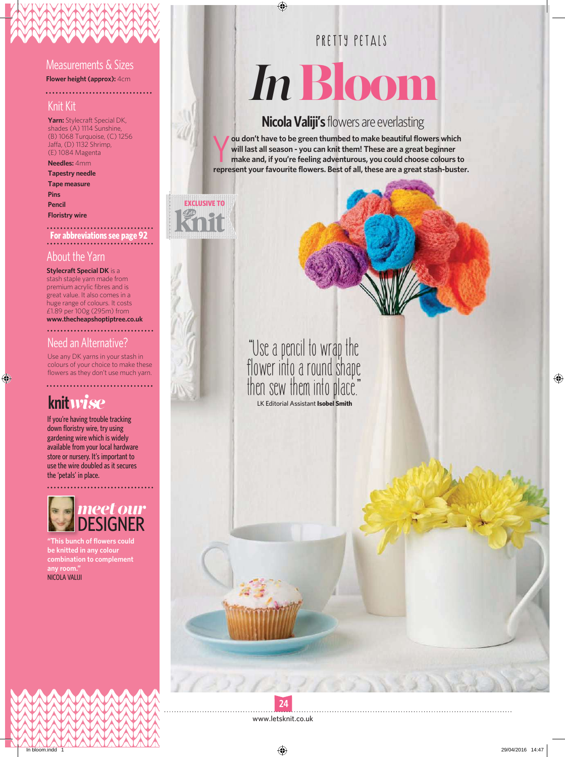#### Measurements & Sizes

**Flower height (approx):** 4cm . . . . . . . . . . . . . . .

#### Knit Kit

**Yarn:** Stylecraft Special DK, shades (A) 1114 Sunshine, (B) 1068 Turquoise, (C) 1256 Jaffa, (D) 1132 Shrimp, (E) 1084 Magenta

#### **Needles:** 4mm

**Tapestry needle Tape measure Pins Pencil Floristry wire**

# **For abbreviations see page 92**

#### About the Yarn

**Stylecraft Special DK** is a stash staple yarn made from premium acrylic fibres and is great value. It also comes in a huge range of colours. It costs £1.89 per 100g (295m) from **www.thecheapshoptiptree.co.uk**

#### Need an Alternative?

Use any DK yarns in your stash in colours of your choice to make these flowers as they don't use much yarn.

# **knit***wise*

If you're having trouble tracking down floristry wire, try using gardening wire which is widely available from your local hardware store or nursery. It's important to use the wire doubled as it secures the 'petals' in place.



**"This bunch of flowers could be knitted in any colour combination to complement any room."** NICOLA VALIJI

### PRETTY PETAIS

# *In* Bloom

#### **Nicola Valiji's** flowers are everlasting

**v** ou don't have to be green thumbed to make beautiful flowers which will last all season - you can knit them! These are a great beginner make and, if you're feeling adventurous, you could choose colours to represent your **ou don't have to be green thumbed to make beautiful flowers which will last all season - you can knit them! These are a great beginner make and, if you're feeling adventurous, you could choose colours to** 





**"Use a pencil to wrap the flower into a round shape then sew them into place."** LK Editorial Assistant **Isobel Smith**